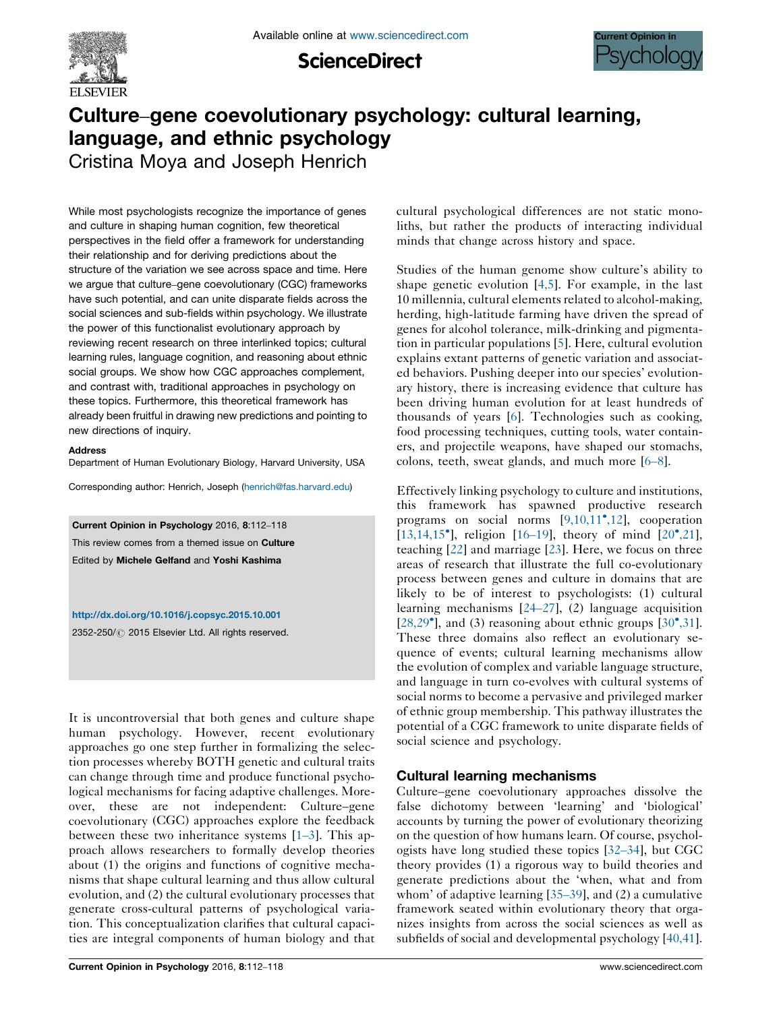

**ScienceDirect** 



# Culture–gene coevolutionary psychology: cultural learning, language, and ethnic psychology

Cristina Moya and Joseph Henrich

While most psychologists recognize the importance of genes and culture in shaping human cognition, few theoretical perspectives in the field offer a framework for understanding their relationship and for deriving predictions about the structure of the variation we see across space and time. Here we argue that culture–gene coevolutionary (CGC) frameworks have such potential, and can unite disparate fields across the social sciences and sub-fields within psychology. We illustrate the power of this functionalist evolutionary approach by reviewing recent research on three interlinked topics; cultural learning rules, language cognition, and reasoning about ethnic social groups. We show how CGC approaches complement, and contrast with, traditional approaches in psychology on these topics. Furthermore, this theoretical framework has already been fruitful in drawing new predictions and pointing to new directions of inquiry.

#### **Address**

Department of Human Evolutionary Biology, Harvard University, USA

Corresponding author: Henrich, Joseph ([henrich@fas.harvard.edu](mailto:henrich@fas.harvard.edu))

Current Opinion in Psychology 2016, 8:112–118 This review comes from a themed issue on Culture Edited by Michele Gelfand and Yoshi Kashima

<http://dx.doi.org/10.1016/j.copsyc.2015.10.001>

2352-250/ @ 2015 Elsevier Ltd. All rights reserved.

It is uncontroversial that both genes and culture shape human psychology. However, recent evolutionary approaches go one step further in formalizing the selection processes whereby BOTH genetic and cultural traits can change through time and produce functional psychological mechanisms for facing adaptive challenges. Moreover, these are not independent: Culture–gene coevolutionary (CGC) approaches explore the feedback between these two inheritance systems [\[1](#page-3-0)–3]. This approach allows researchers to formally develop theories about (1) the origins and functions of cognitive mechanisms that shape cultural learning and thus allow cultural evolution, and (2) the cultural evolutionary processes that generate cross-cultural patterns of psychological variation. This conceptualization clarifies that cultural capacities are integral components of human biology and that

cultural psychological differences are not static monoliths, but rather the products of interacting individual minds that change across history and space.

Studies of the human genome show culture's ability to shape genetic evolution [\[4,5\]](#page-3-0). For example, in the last 10 millennia, cultural elements related to alcohol-making, herding, high-latitude farming have driven the spread of genes for alcohol tolerance, milk-drinking and pigmentation in particular populations [[5\]](#page-3-0). Here, cultural evolution explains extant patterns of genetic variation and associated behaviors. Pushing deeper into our species' evolutionary history, there is increasing evidence that culture has been driving human evolution for at least hundreds of thousands of years [[6\]](#page-3-0). Technologies such as cooking, food processing techniques, cutting tools, water containers, and projectile weapons, have shaped our stomachs, colons, teeth, sweat glands, and much more [6–[8\]](#page-3-0).

Effectively linking psychology to culture and institutions, this framework has spawned productive research programs on social norms [[9,10,11](#page-3-0)°[,12\]](#page-3-0), cooperation [\[13,14,15](#page-3-0) $^{\circ}$ ], religion [16-[19](#page-3-0)], theory of mind [\[20](#page-3-0) $^{\circ}$ [,21](#page-3-0)], teaching [\[22](#page-3-0)] and marriage [[23\]](#page-3-0). Here, we focus on three areas of research that illustrate the full co-evolutionary process between genes and culture in domains that are likely to be of interest to psychologists: (1) cultural learning mechanisms [24–[27\]](#page-3-0), (2) language acquisition  $[28,29^{\circ}]$  $[28,29^{\circ}]$ , and (3) reasoning about ethnic groups  $[30^{\circ},31]$  $[30^{\circ},31]$  $[30^{\circ},31]$  $[30^{\circ},31]$ . These three domains also reflect an evolutionary sequence of events; cultural learning mechanisms allow the evolution of complex and variable language structure, and language in turn co-evolves with cultural systems of social norms to become a pervasive and privileged marker of ethnic group membership. This pathway illustrates the potential of a CGC framework to unite disparate fields of social science and psychology.

## Cultural learning mechanisms

Culture–gene coevolutionary approaches dissolve the false dichotomy between 'learning' and 'biological' accounts by turning the power of evolutionary theorizing on the question of how humans learn. Of course, psychologists have long studied these topics [32–[34\]](#page-4-0), but CGC theory provides (1) a rigorous way to build theories and generate predictions about the 'when, what and from whom' of adaptive learning [35–[39\]](#page-4-0), and (2) a cumulative framework seated within evolutionary theory that organizes insights from across the social sciences as well as subfields of social and developmental psychology [\[40,41](#page-4-0)].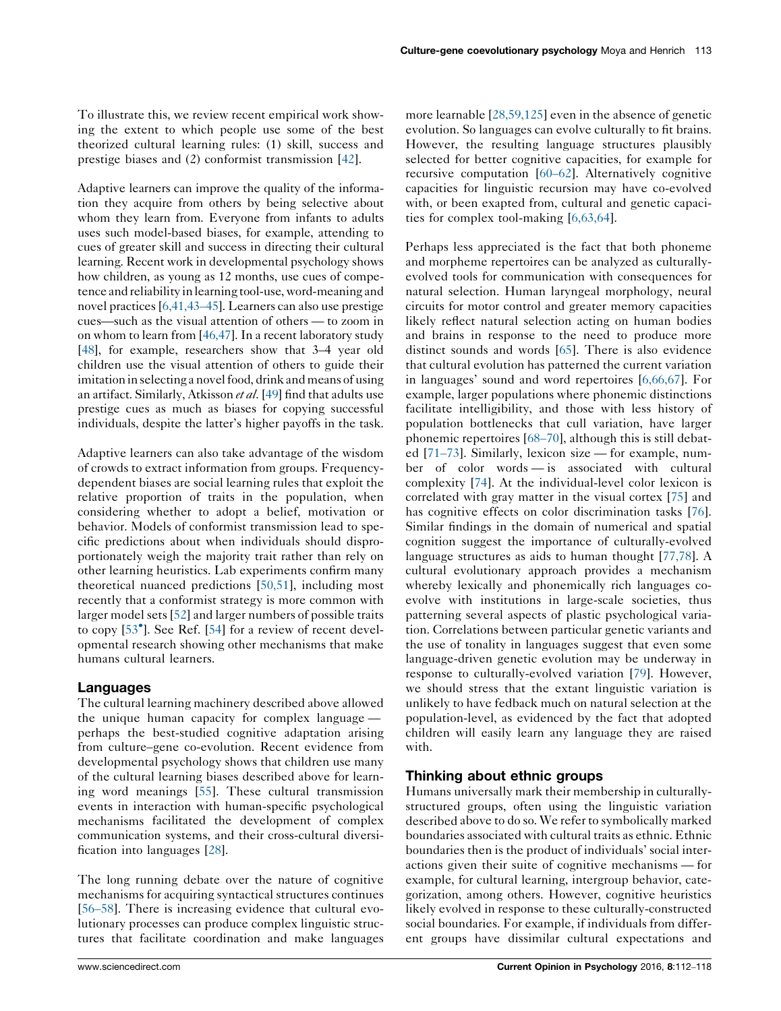To illustrate this, we review recent empirical work showing the extent to which people use some of the best theorized cultural learning rules: (1) skill, success and prestige biases and (2) conformist transmission [\[42](#page-4-0)].

Adaptive learners can improve the quality of the information they acquire from others by being selective about whom they learn from. Everyone from infants to adults uses such model-based biases, for example, attending to cues of greater skill and success in directing their cultural learning. Recent work in developmental psychology shows how children, as young as 12 months, use cues of competence and reliability inlearning tool-use,word-meaning and novel practices [\[6,41,43](#page-3-0)–45]. Learners can also use prestige cues—such as the visual attention of others — to zoom in on whom to learn from [\[46,47](#page-4-0)]. In a recent laboratory study [\[48\]](#page-4-0), for example, researchers show that 3–4 year old children use the visual attention of others to guide their imitation in selecting a novel food, drink and means of using an artifact. Similarly, Atkisson et al. [\[49](#page-4-0)] find that adults use prestige cues as much as biases for copying successful individuals, despite the latter's higher payoffs in the task.

Adaptive learners can also take advantage of the wisdom of crowds to extract information from groups. Frequencydependent biases are social learning rules that exploit the relative proportion of traits in the population, when considering whether to adopt a belief, motivation or behavior. Models of conformist transmission lead to specific predictions about when individuals should disproportionately weigh the majority trait rather than rely on other learning heuristics. Lab experiments confirm many theoretical nuanced predictions [\[50,51\]](#page-4-0), including most recently that a conformist strategy is more common with larger model sets[\[52](#page-4-0)] and larger numbers of possible traits to copy [[53](#page-4-0)<sup>°</sup>]. See Ref. [[54\]](#page-4-0) for a review of recent developmental research showing other mechanisms that make humans cultural learners.

## Languages

The cultural learning machinery described above allowed the unique human capacity for complex language perhaps the best-studied cognitive adaptation arising from culture–gene co-evolution. Recent evidence from developmental psychology shows that children use many of the cultural learning biases described above for learning word meanings [\[55](#page-4-0)]. These cultural transmission events in interaction with human-specific psychological mechanisms facilitated the development of complex communication systems, and their cross-cultural diversification into languages [[28\]](#page-4-0).

The long running debate over the nature of cognitive mechanisms for acquiring syntactical structures continues [\[56](#page-4-0)–58]. There is increasing evidence that cultural evolutionary processes can produce complex linguistic structures that facilitate coordination and make languages

more learnable [\[28,59,125](#page-4-0)] even in the absence of genetic evolution. So languages can evolve culturally to fit brains. However, the resulting language structures plausibly selected for better cognitive capacities, for example for recursive computation [\[60](#page-4-0)–62]. Alternatively cognitive capacities for linguistic recursion may have co-evolved with, or been exapted from, cultural and genetic capacities for complex tool-making [[6,63,64](#page-3-0)].

Perhaps less appreciated is the fact that both phoneme and morpheme repertoires can be analyzed as culturallyevolved tools for communication with consequences for natural selection. Human laryngeal morphology, neural circuits for motor control and greater memory capacities likely reflect natural selection acting on human bodies and brains in response to the need to produce more distinct sounds and words [[65\]](#page-5-0). There is also evidence that cultural evolution has patterned the current variation in languages' sound and word repertoires [[6,66,67\]](#page-3-0). For example, larger populations where phonemic distinctions facilitate intelligibility, and those with less history of population bottlenecks that cull variation, have larger phonemic repertoires [68–[70\]](#page-5-0), although this is still debated [\[71](#page-5-0)–73]. Similarly, lexicon size — for example, number of color words — is associated with cultural complexity [\[74](#page-5-0)]. At the individual-level color lexicon is correlated with gray matter in the visual cortex [\[75](#page-5-0)] and has cognitive effects on color discrimination tasks [[76\]](#page-5-0). Similar findings in the domain of numerical and spatial cognition suggest the importance of culturally-evolved language structures as aids to human thought [\[77,78\]](#page-5-0). A cultural evolutionary approach provides a mechanism whereby lexically and phonemically rich languages coevolve with institutions in large-scale societies, thus patterning several aspects of plastic psychological variation. Correlations between particular genetic variants and the use of tonality in languages suggest that even some language-driven genetic evolution may be underway in response to culturally-evolved variation [\[79](#page-5-0)]. However, we should stress that the extant linguistic variation is unlikely to have fedback much on natural selection at the population-level, as evidenced by the fact that adopted children will easily learn any language they are raised with.

## Thinking about ethnic groups

Humans universally mark their membership in culturallystructured groups, often using the linguistic variation described above to do so. We refer to symbolically marked boundaries associated with cultural traits as ethnic. Ethnic boundaries then is the product of individuals' social interactions given their suite of cognitive mechanisms — for example, for cultural learning, intergroup behavior, categorization, among others. However, cognitive heuristics likely evolved in response to these culturally-constructed social boundaries. For example, if individuals from different groups have dissimilar cultural expectations and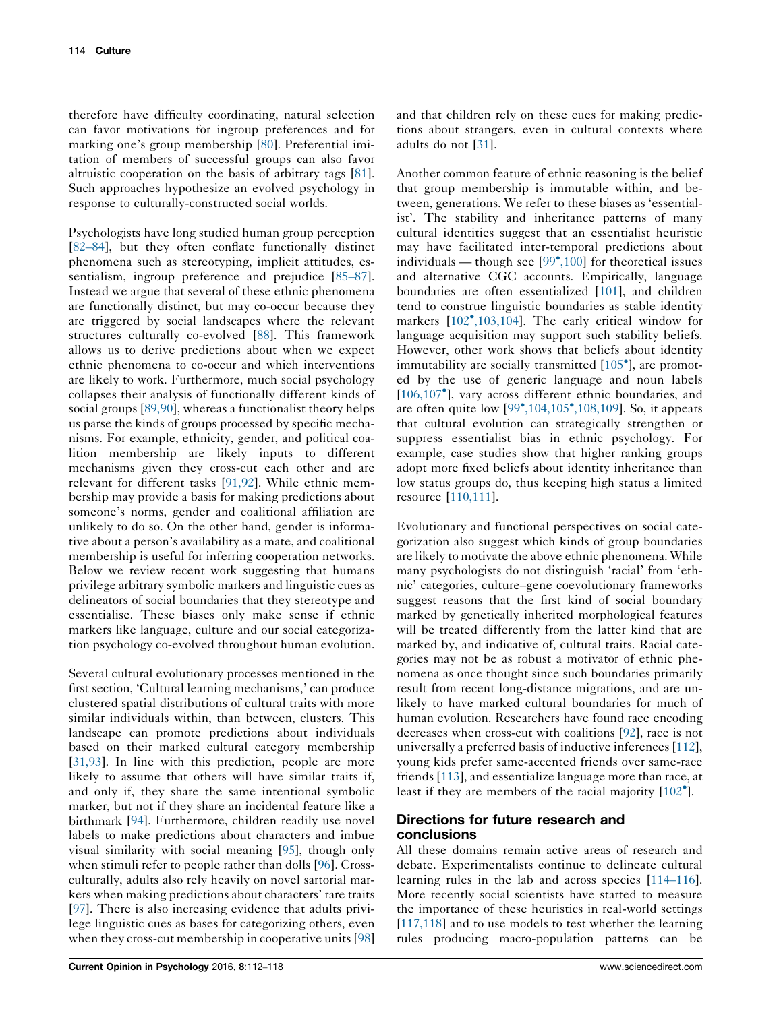therefore have difficulty coordinating, natural selection can favor motivations for ingroup preferences and for marking one's group membership [[80\]](#page-5-0). Preferential imitation of members of successful groups can also favor altruistic cooperation on the basis of arbitrary tags [\[81](#page-5-0)]. Such approaches hypothesize an evolved psychology in response to culturally-constructed social worlds.

Psychologists have long studied human group perception [\[82](#page-5-0)–84], but they often conflate functionally distinct phenomena such as stereotyping, implicit attitudes, essentialism, ingroup preference and prejudice [\[85](#page-5-0)–87]. Instead we argue that several of these ethnic phenomena are functionally distinct, but may co-occur because they are triggered by social landscapes where the relevant structures culturally co-evolved [[88\]](#page-5-0). This framework allows us to derive predictions about when we expect ethnic phenomena to co-occur and which interventions are likely to work. Furthermore, much social psychology collapses their analysis of functionally different kinds of social groups [\[89,90\]](#page-5-0), whereas a functionalist theory helps us parse the kinds of groups processed by specific mechanisms. For example, ethnicity, gender, and political coalition membership are likely inputs to different mechanisms given they cross-cut each other and are relevant for different tasks [[91,92](#page-5-0)]. While ethnic membership may provide a basis for making predictions about someone's norms, gender and coalitional affiliation are unlikely to do so. On the other hand, gender is informative about a person's availability as a mate, and coalitional membership is useful for inferring cooperation networks. Below we review recent work suggesting that humans privilege arbitrary symbolic markers and linguistic cues as delineators of social boundaries that they stereotype and essentialise. These biases only make sense if ethnic markers like language, culture and our social categorization psychology co-evolved throughout human evolution.

Several cultural evolutionary processes mentioned in the first section, 'Cultural learning mechanisms,' can produce clustered spatial distributions of cultural traits with more similar individuals within, than between, clusters. This landscape can promote predictions about individuals based on their marked cultural category membership [\[31,93\]](#page-4-0). In line with this prediction, people are more likely to assume that others will have similar traits if, and only if, they share the same intentional symbolic marker, but not if they share an incidental feature like a birthmark [[94\]](#page-5-0). Furthermore, children readily use novel labels to make predictions about characters and imbue visual similarity with social meaning [\[95](#page-5-0)], though only when stimuli refer to people rather than dolls [\[96](#page-5-0)]. Crossculturally, adults also rely heavily on novel sartorial markers when making predictions about characters' rare traits [\[97](#page-5-0)]. There is also increasing evidence that adults privilege linguistic cues as bases for categorizing others, even when they cross-cut membership in cooperative units [[98\]](#page-5-0)

and that children rely on these cues for making predictions about strangers, even in cultural contexts where adults do not [\[31](#page-4-0)].

Another common feature of ethnic reasoning is the belief that group membership is immutable within, and between, generations. We refer to these biases as 'essentialist'. The stability and inheritance patterns of many cultural identities suggest that an essentialist heuristic may have facilitated inter-temporal predictions about individuals — though see [[99](#page-5-0)°[,100](#page-5-0)] for theoretical issues and alternative CGC accounts. Empirically, language boundaries are often essentialized [\[101](#page-5-0)], and children tend to construe linguistic boundaries as stable identity markers [\[102](#page-5-0)°[,103,104](#page-5-0)]. The early critical window for language acquisition may support such stability beliefs. However, other work shows that beliefs about identity immutability are socially transmitted [\[105](#page-6-0)°], are promoted by the use of generic language and noun labels [\[106,107](#page-6-0)°], vary across different ethnic boundaries, and are often quite low [\[99](#page-5-0)°[,104,105](#page-5-0)°[,108,109\]](#page-5-0). So, it appears that cultural evolution can strategically strengthen or suppress essentialist bias in ethnic psychology. For example, case studies show that higher ranking groups adopt more fixed beliefs about identity inheritance than low status groups do, thus keeping high status a limited resource [\[110,111\]](#page-6-0).

Evolutionary and functional perspectives on social categorization also suggest which kinds of group boundaries are likely to motivate the above ethnic phenomena. While many psychologists do not distinguish 'racial' from 'ethnic' categories, culture–gene coevolutionary frameworks suggest reasons that the first kind of social boundary marked by genetically inherited morphological features will be treated differently from the latter kind that are marked by, and indicative of, cultural traits. Racial categories may not be as robust a motivator of ethnic phenomena as once thought since such boundaries primarily result from recent long-distance migrations, and are unlikely to have marked cultural boundaries for much of human evolution. Researchers have found race encoding decreases when cross-cut with coalitions [[92\]](#page-5-0), race is not universally a preferred basis of inductive inferences [[112](#page-6-0)], young kids prefer same-accented friends over same-race friends [[113\]](#page-6-0), and essentialize language more than race, at least if they are members of the racial majority [\[102](#page-5-0)°].

# Directions for future research and conclusions

All these domains remain active areas of research and debate. Experimentalists continue to delineate cultural learning rules in the lab and across species [[114](#page-6-0)–116]. More recently social scientists have started to measure the importance of these heuristics in real-world settings [\[117,118\]](#page-6-0) and to use models to test whether the learning rules producing macro-population patterns can be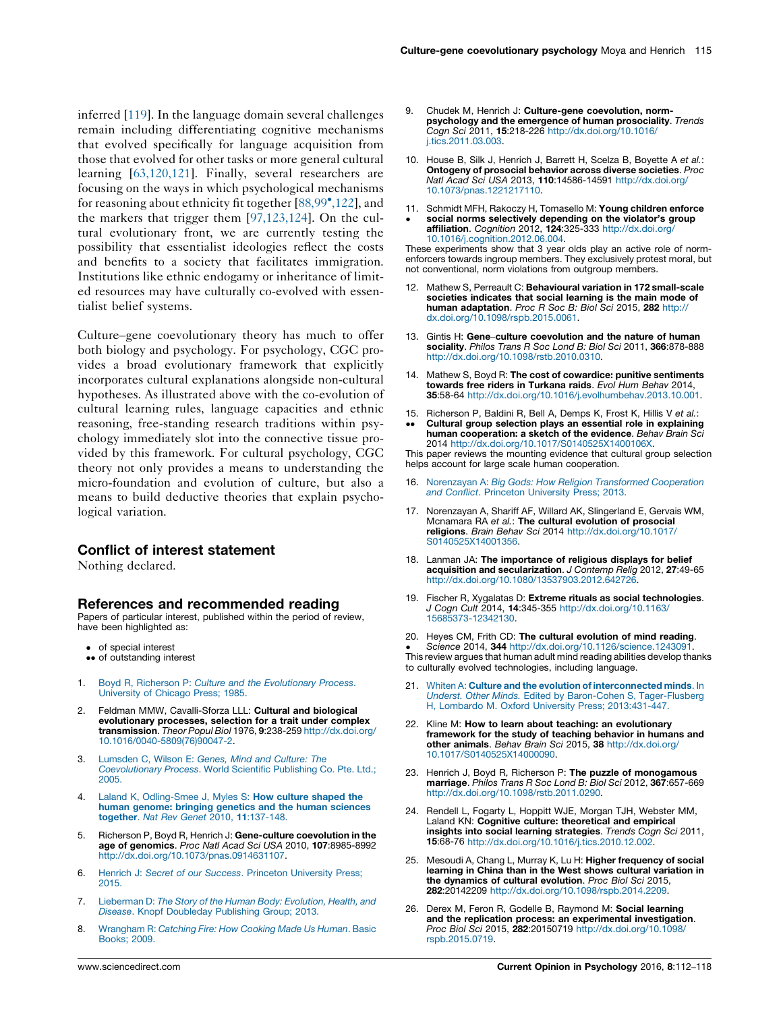<span id="page-3-0"></span>inferred [\[119](#page-6-0)]. In the language domain several challenges remain including differentiating cognitive mechanisms that evolved specifically for language acquisition from those that evolved for other tasks or more general cultural learning [[63,120,121\]](#page-4-0). Finally, several researchers are focusing on the ways in which psychological mechanisms for reasoning about ethnicity fit together [\[88,99](#page-5-0)°[,122\]](#page-5-0), and the markers that trigger them [\[97,123,124](#page-5-0)]. On the cultural evolutionary front, we are currently testing the possibility that essentialist ideologies reflect the costs and benefits to a society that facilitates immigration. Institutions like ethnic endogamy or inheritance of limited resources may have culturally co-evolved with essentialist belief systems.

Culture–gene coevolutionary theory has much to offer both biology and psychology. For psychology, CGC provides a broad evolutionary framework that explicitly incorporates cultural explanations alongside non-cultural hypotheses. As illustrated above with the co-evolution of cultural learning rules, language capacities and ethnic reasoning, free-standing research traditions within psychology immediately slot into the connective tissue provided by this framework. For cultural psychology, CGC theory not only provides a means to understanding the micro-foundation and evolution of culture, but also a means to build deductive theories that explain psychological variation.

#### Conflict of interest statement

Nothing declared.

#### References and recommended reading

Papers of particular interest, published within the period of review, have been highlighted as:

- of special interest
- •• of outstanding interest
- 1. Boyd R, Richerson P: Culture and the [Evolutionary](http://refhub.elsevier.com/S2352-250X(15)00248-1/sbref0625) Process. [University](http://refhub.elsevier.com/S2352-250X(15)00248-1/sbref0625) of Chicago Press; 1985.
- 2. Feldman MMW, Cavalli-Sforza LLL: Cultural and biological evolutionary processes, selection for a trait under complex transmission. Theor Popul Biol 1976, 9:238-259 [http://dx.doi.org/](http://dx.doi.org/10.1016/0040-5809(76)90047-2) [10.1016/0040-5809\(76\)90047-2](http://dx.doi.org/10.1016/0040-5809(76)90047-2).
- 3. [Lumsden](http://refhub.elsevier.com/S2352-250X(15)00248-1/sbref0635) C, Wilson E: Genes, Mind and Culture: The [Coevolutionary](http://refhub.elsevier.com/S2352-250X(15)00248-1/sbref0635) Process. World Scientific Publishing Co. Pte. Ltd.; [2005.](http://refhub.elsevier.com/S2352-250X(15)00248-1/sbref0635)
- 4. Laland K, [Odling-Smee](http://refhub.elsevier.com/S2352-250X(15)00248-1/sbref0640) J, Myles S: How culture shaped the human genome: bringing genetics and the human [sciences](http://refhub.elsevier.com/S2352-250X(15)00248-1/sbref0640) together. Nat Rev Genet 2010, 11[:137-148.](http://refhub.elsevier.com/S2352-250X(15)00248-1/sbref0640)
- 5. Richerson P, Boyd R, Henrich J: Gene-culture coevolution in the age of genomics. Proc Natl Acad Sci USA 2010, 107:8985-8992 <http://dx.doi.org/10.1073/pnas.0914631107>.
- 6. Henrich J: Secret of our Success. Princeton [University](http://refhub.elsevier.com/S2352-250X(15)00248-1/sbref0650) Press; [2015.](http://refhub.elsevier.com/S2352-250X(15)00248-1/sbref0650)
- 7. [Lieberman](http://refhub.elsevier.com/S2352-250X(15)00248-1/sbref0655) D: The Story of the Human Body: Evolution, Health, and Disease. Knopf [Doubleday](http://refhub.elsevier.com/S2352-250X(15)00248-1/sbref0655) Publishing Group; 2013.
- 8. [Wrangham](http://refhub.elsevier.com/S2352-250X(15)00248-1/sbref0660) R: Catching Fire: How Cooking Made Us Human. Basic [Books;](http://refhub.elsevier.com/S2352-250X(15)00248-1/sbref0660) 2009.
- Chudek M, Henrich J: Culture-gene coevolution, normpsychology and the emergence of human prosociality. Trends Cogn Sci 2011, 15:218-226 [http://dx.doi.org/10.1016/](http://dx.doi.org/10.1016/j.tics.2011.03.003) [j.tics.2011.03.003.](http://dx.doi.org/10.1016/j.tics.2011.03.003)
- 10. House B, Silk J, Henrich J, Barrett H, Scelza B, Boyette A et al.: Ontogeny of prosocial behavior across diverse societies. Proc Natl Acad Sci USA 2013, 110:14586-14591 [http://dx.doi.org/](http://dx.doi.org/10.1073/pnas.1221217110) [10.1073/pnas.1221217110.](http://dx.doi.org/10.1073/pnas.1221217110)
- 11. Schmidt MFH, Rakoczy H, Tomasello M: Young children enforce social norms selectively depending on the violator's group affiliation. Cognition 2012, 124:325-333 [http://dx.doi.org/](http://dx.doi.org/10.1016/j.cognition.2012.06.004) [10.1016/j.cognition.2012.06.004.](http://dx.doi.org/10.1016/j.cognition.2012.06.004)

These experiments show that 3 year olds play an active role of normenforcers towards ingroup members. They exclusively protest moral, but not conventional, norm violations from outgroup members.

- 12. Mathew S, Perreault C: Behavioural variation in 172 small-scale societies indicates that social learning is the main mode of human adaptation. Proc R Soc B: Biol Sci 2015, 282 [http://](http://dx.doi.org/10.1098/rspb.2015.0061) [dx.doi.org/10.1098/rspb.2015.0061.](http://dx.doi.org/10.1098/rspb.2015.0061)
- 13. Gintis H: Gene–culture coevolution and the nature of human sociality. Philos Trans R Soc Lond B: Biol Sci 2011, 366:878-888 <http://dx.doi.org/10.1098/rstb.2010.0310>.
- 14. Mathew S, Boyd R: The cost of cowardice: punitive sentiments towards free riders in Turkana raids. Evol Hum Behav 2014, 35:58-64 <http://dx.doi.org/10.1016/j.evolhumbehav.2013.10.001>.
- 15. Richerson P, Baldini R, Bell A, Demps K, Frost K, Hillis V et al.: --Cultural group selection plays an essential role in explaining human cooperation: a sketch of the evidence. Behav Brain Sci 2014 [http://dx.doi.org/10.1017/S0140525X1400106X.](http://dx.doi.org/10.1017/S0140525X1400106X)

This paper reviews the mounting evidence that cultural group selection helps account for large scale human cooperation.

- 16. Norenzayan A: Big Gods: How Religion [Transformed](http://refhub.elsevier.com/S2352-250X(15)00248-1/sbref0700) Cooperation and Conflict. Princeton [University](http://refhub.elsevier.com/S2352-250X(15)00248-1/sbref0700) Press; 2013.
- 17. Norenzayan A, Shariff AF, Willard AK, Slingerland E, Gervais WM, Mcnamara RA et al.: The cultural evolution of prosocial religions. Brain Behav Sci 2014 [http://dx.doi.org/10.1017/](http://dx.doi.org/10.1017/S0140525X14001356) [S0140525X14001356.](http://dx.doi.org/10.1017/S0140525X14001356)
- 18. Lanman JA: The importance of religious displays for belief acquisition and secularization. J Contemp Relig 2012, 27:49-65 <http://dx.doi.org/10.1080/13537903.2012.642726>.
- 19. Fischer R, Xygalatas D: Extreme rituals as social technologies. J Cogn Cult 2014, 14:345-355 [http://dx.doi.org/10.1163/](http://dx.doi.org/10.1163/15685373-12342130) [15685373-12342130.](http://dx.doi.org/10.1163/15685373-12342130)
- 20. Heyes CM, Frith CD: The cultural evolution of mind reading.

- This review argues that human adult mind reading abilities develop thanks Science 2014, 344 [http://dx.doi.org/10.1126/science.1243091.](http://dx.doi.org/10.1126/science.1243091) to culturally evolved technologies, including language.

- 21. Whiten A: Culture and the evolution of [interconnected](http://refhub.elsevier.com/S2352-250X(15)00248-1/sbref0725) minds. In Underst. Other Minds. Edited by Baron-Cohen S, [Tager-Flusberg](http://refhub.elsevier.com/S2352-250X(15)00248-1/sbref0725) H, [Lombardo](http://refhub.elsevier.com/S2352-250X(15)00248-1/sbref0725) M. Oxford University Press; 2013:[431-447](http://refhub.elsevier.com/S2352-250X(15)00248-1/sbref0725).
- 22. Kline M: How to learn about teaching: an evolutionary framework for the study of teaching behavior in humans and other animals. Behav Brain Sci 2015, 38 [http://dx.doi.org/](http://dx.doi.org/10.1017/S0140525X14000090) [10.1017/S0140525X14000090](http://dx.doi.org/10.1017/S0140525X14000090).
- 23. Henrich J, Boyd R, Richerson P: The puzzle of monogamous marriage. Philos Trans R Soc Lond B: Biol Sci 2012, 367:657-669 <http://dx.doi.org/10.1098/rstb.2011.0290>.
- 24. Rendell L, Fogarty L, Hoppitt WJE, Morgan TJH, Webster MM, Laland KN: Cognitive culture: theoretical and empirical insights into social learning strategies. Trends Cogn Sci 2011, 15:68-76 <http://dx.doi.org/10.1016/j.tics.2010.12.002>.
- 25. Mesoudi A, Chang L, Murray K, Lu H: Higher frequency of social learning in China than in the West shows cultural variation in the dynamics of cultural evolution. Proc Biol Sci 2015, 282:20142209 <http://dx.doi.org/10.1098/rspb.2014.2209>.
- 26. Derex M, Feron R, Godelle B, Raymond M: Social learning and the replication process: an experimental investigation. Proc Biol Sci 2015, 282:20150719 [http://dx.doi.org/10.1098/](http://dx.doi.org/10.1098/rspb.2015.0719) [rspb.2015.0719.](http://dx.doi.org/10.1098/rspb.2015.0719)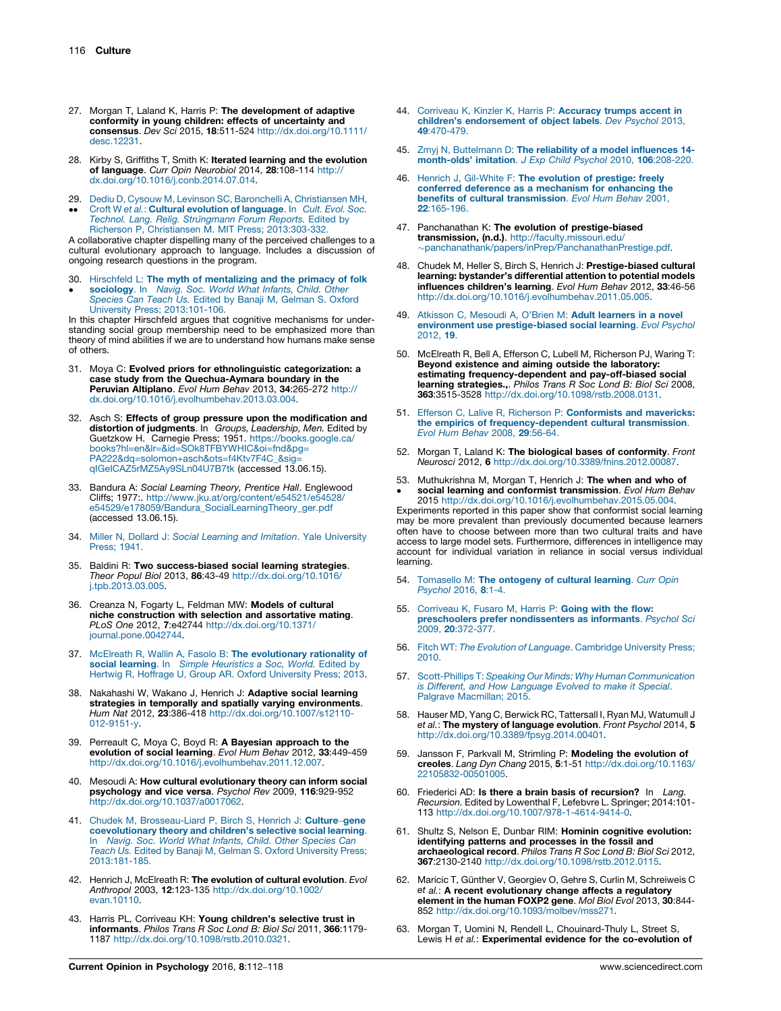- <span id="page-4-0"></span>27. Morgan T, Laland K, Harris P: The development of adaptive conformity in young children: effects of uncertainty and consensus. Dev Sci 2015, 18:511-524 [http://dx.doi.org/10.1111/](http://dx.doi.org/10.1111/desc.12231) [desc.12231](http://dx.doi.org/10.1111/desc.12231).
- 28. Kirby S, Griffiths T, Smith K: Iterated learning and the evolution of language. Curr Opin Neurobiol 2014, 28:108-114 [http://](http://dx.doi.org/10.1016/j.conb.2014.07.014) [dx.doi.org/10.1016/j.conb.2014.07.014](http://dx.doi.org/10.1016/j.conb.2014.07.014).
- 29. Dediu D, Cysouw M, Levinson SC, Baronchelli A, [Christiansen](http://refhub.elsevier.com/S2352-250X(15)00248-1/sbref0765) MH,
- $\bullet$  $\bullet$ Croft W et al.: Cultural evolution of [language](http://refhub.elsevier.com/S2352-250X(15)00248-1/sbref0765). In Cult. Evol. Soc. *Technol. Lang. Relig. Strüngmann Forum Reports.* Edited by<br>Richerson P, [Christiansen](http://refhub.elsevier.com/S2352-250X(15)00248-1/sbref0765) M. MIT Press; 2013[:303-332.](http://refhub.elsevier.com/S2352-250X(15)00248-1/sbref0765)

A collaborative chapter dispelling many of the perceived challenges to a cultural evolutionary approach to language. Includes a discussion of ongoing research questions in the program.

- 30. Hirschfeld L: The myth of [mentalizing](http://refhub.elsevier.com/S2352-250X(15)00248-1/sbref0770) and the primacy of folk
- $\bullet$ [sociology](http://refhub.elsevier.com/S2352-250X(15)00248-1/sbref0770). In Navig. Soc. World What Infants, Child. Other [Species](http://refhub.elsevier.com/S2352-250X(15)00248-1/sbref0770) Can Teach Us. Edited by Banaji M, Gelman S. Oxford [University](http://refhub.elsevier.com/S2352-250X(15)00248-1/sbref0770) Press; 2013:[101-106](http://refhub.elsevier.com/S2352-250X(15)00248-1/sbref0770).

In this chapter Hirschfeld argues that cognitive mechanisms for understanding social group membership need to be emphasized more than theory of mind abilities if we are to understand how humans make sense of others.

- 31. Moya C: Evolved priors for ethnolinguistic categorization: a case study from the Quechua-Aymara boundary in the Peruvian Altiplano. Evol Hum Behav 2013, 34:265-272 [http://](http://dx.doi.org/10.1016/j.evolhumbehav.2013.03.004) [dx.doi.org/10.1016/j.evolhumbehav.2013.03.004](http://dx.doi.org/10.1016/j.evolhumbehav.2013.03.004).
- 32. Asch S: Effects of group pressure upon the modification and distortion of judgments. In Groups, Leadership, Men. Edited by Guetzkow H. Carnegie Press; 1951. [https://books.google.ca/](https://books.google.ca/books?hl=en&lr=&id=SOk8TFBYWHIC&oi=fnd&pg=PA222&dq=solomon+asch&ots=f4Ktv7F4C_&sig=qIGeICAZ5rMZ5Ay9SLn04U7B7tk) [books?hl=en&lr=&id=SOk8TFBYWHIC&oi=fnd&pg=](https://books.google.ca/books?hl=en&lr=&id=SOk8TFBYWHIC&oi=fnd&pg=PA222&dq=solomon+asch&ots=f4Ktv7F4C_&sig=qIGeICAZ5rMZ5Ay9SLn04U7B7tk) [PA222&dq=solomon+asch&ots=f4Ktv7F4C\\_&sig=](https://books.google.ca/books?hl=en&lr=&id=SOk8TFBYWHIC&oi=fnd&pg=PA222&dq=solomon+asch&ots=f4Ktv7F4C_&sig=qIGeICAZ5rMZ5Ay9SLn04U7B7tk) [qIGeICAZ5rMZ5Ay9SLn04U7B7tk](https://books.google.ca/books?hl=en&lr=&id=SOk8TFBYWHIC&oi=fnd&pg=PA222&dq=solomon+asch&ots=f4Ktv7F4C_&sig=qIGeICAZ5rMZ5Ay9SLn04U7B7tk) (accessed 13.06.15).
- 33. Bandura A: Social Learning Theory, Prentice Hall. Englewood Cliffs; 1977:. [http://www.jku.at/org/content/e54521/e54528/](http://www.jku.at/org/content/e54521/e54528/e54529/e178059/Bandura_SocialLearningTheory_ger.pdf) [e54529/e178059/Bandura\\_SocialLearningTheory\\_ger.pdf](http://www.jku.at/org/content/e54521/e54528/e54529/e178059/Bandura_SocialLearningTheory_ger.pdf) (accessed 13.06.15).
- 34. Miller N, Dollard J: Social Learning and Imitation. Yale [University](http://refhub.elsevier.com/S2352-250X(15)00248-1/sbref0790) [Press;](http://refhub.elsevier.com/S2352-250X(15)00248-1/sbref0790) 1941.
- 35. Baldini R: Two success-biased social learning strategies. Theor Popul Biol 2013, 86:43-49 [http://dx.doi.org/10.1016/](http://dx.doi.org/10.1016/j.tpb.2013.03.005) [j.tpb.2013.03.005.](http://dx.doi.org/10.1016/j.tpb.2013.03.005)
- 36. Creanza N, Fogarty L, Feldman MW: Models of cultural niche construction with selection and assortative mating. PLoS One 2012, 7:e42744 [http://dx.doi.org/10.1371/](http://dx.doi.org/10.1371/journal.pone.0042744) [journal.pone.0042744.](http://dx.doi.org/10.1371/journal.pone.0042744)
- 37. McElreath R, Wallin A, Fasolo B: The [evolutionary](http://refhub.elsevier.com/S2352-250X(15)00248-1/sbref0805) rationality of social learning. In Simple [Heuristics](http://refhub.elsevier.com/S2352-250X(15)00248-1/sbref0805) a Soc, World. Edited by Hertwig R, Hoffrage U, Group AR. Oxford [University](http://refhub.elsevier.com/S2352-250X(15)00248-1/sbref0805) Press; 2013.
- 38. Nakahashi W, Wakano J, Henrich J: Adaptive social learning strategies in temporally and spatially varying environments. Hum Nat 2012, 23:386-418 [http://dx.doi.org/10.1007/s12110-](http://dx.doi.org/10.1007/s12110-012-9151-y) [012-9151-y.](http://dx.doi.org/10.1007/s12110-012-9151-y)
- 39. Perreault C, Moya C, Boyd R: A Bayesian approach to the evolution of social learning. Evol Hum Behav 2012, 33:449-459 <http://dx.doi.org/10.1016/j.evolhumbehav.2011.12.007>.
- 40. Mesoudi A: How cultural evolutionary theory can inform social psychology and vice versa. Psychol Rev 2009, 116:929-952 <http://dx.doi.org/10.1037/a0017062>.
- 41. Chudek M, [Brosseau-Liard](http://refhub.elsevier.com/S2352-250X(15)00248-1/sbref0825) P, Birch S, Henrich J: Culture-gene [coevolutionary](http://refhub.elsevier.com/S2352-250X(15)00248-1/sbref0825) theory and children's selective social learning.<br>In Navig. Soc. World What Infants, Child. Other [Species](http://refhub.elsevier.com/S2352-250X(15)00248-1/sbref0825) Can Teach Us. Edited by Banaji M, Gelman S. Oxford [University](http://refhub.elsevier.com/S2352-250X(15)00248-1/sbref0825) Press; [2013:181-185.](http://refhub.elsevier.com/S2352-250X(15)00248-1/sbref0825)
- 42. Henrich J, McElreath R: The evolution of cultural evolution. Evol Anthropol 2003, 12:123-135 [http://dx.doi.org/10.1002/](http://dx.doi.org/10.1002/evan.10110) [evan.10110](http://dx.doi.org/10.1002/evan.10110).
- 43. Harris PL, Corriveau KH: Young children's selective trust in informants. Philos Trans R Soc Lond B: Biol Sci 2011, 366:1179- 1187 [http://dx.doi.org/10.1098/rstb.2010.0321.](http://dx.doi.org/10.1098/rstb.2010.0321)
- 44. Corriveau K, Kinzler K, Harris P: [Accuracy](http://refhub.elsevier.com/S2352-250X(15)00248-1/sbref0840) trumps accent in children's [endorsement](http://refhub.elsevier.com/S2352-250X(15)00248-1/sbref0840) of object labels. Dev Psychol 2013, 49[:470-479.](http://refhub.elsevier.com/S2352-250X(15)00248-1/sbref0840)
- 45. Zmyj N, [Buttelmann](http://refhub.elsevier.com/S2352-250X(15)00248-1/sbref0845) D: The reliability of a model influences 14 [month-olds'](http://refhub.elsevier.com/S2352-250X(15)00248-1/sbref0845) imitation. J Exp Child Psychol 2010, 106:208-220.
- 46. Henrich J, Gil-White F: The [evolution](http://refhub.elsevier.com/S2352-250X(15)00248-1/sbref0850) of prestige: freely conferred deference as a [mechanism](http://refhub.elsevier.com/S2352-250X(15)00248-1/sbref0850) for enhancing the benefits of cultural [transmission](http://refhub.elsevier.com/S2352-250X(15)00248-1/sbref0850). Evol Hum Behav 2001, 22[:165-196.](http://refhub.elsevier.com/S2352-250X(15)00248-1/sbref0850)
- 47. Panchanathan K: The evolution of prestige-biased transmission, (n.d.). [http://faculty.missouri.edu/](http://faculty.missouri.edu/~panchanathank/papers/inPrep/PanchanathanPrestige.pdf) [panchanathank/papers/inPrep/PanchanathanPrestige.pdf.](http://faculty.missouri.edu/~panchanathank/papers/inPrep/PanchanathanPrestige.pdf)
- 48. Chudek M, Heller S, Birch S, Henrich J: Prestige-biased cultural learning: bystander's differential attention to potential models influences children's learning. Evol Hum Behav 2012, 33:46-56 [http://dx.doi.org/10.1016/j.evolhumbehav.2011.05.005.](http://dx.doi.org/10.1016/j.evolhumbehav.2011.05.005)
- 49. Atkisson C, [Mesoudi](http://refhub.elsevier.com/S2352-250X(15)00248-1/sbref0865) A, O'Brien M: Adult learners in a novel environment use [prestige-biased](http://refhub.elsevier.com/S2352-250X(15)00248-1/sbref0865) social learning. Evol Psychol [2012,](http://refhub.elsevier.com/S2352-250X(15)00248-1/sbref0865) 19.
- 50. McElreath R, Bell A, Efferson C, Lubell M, Richerson PJ, Waring T: Beyond existence and aiming outside the laboratory: estimating frequency-dependent and pay-off-biased social learning strategies.,. Philos Trans R Soc Lond B: Biol Sci 2008, 363:3515-3528 [http://dx.doi.org/10.1098/rstb.2008.0131.](http://dx.doi.org/10.1098/rstb.2008.0131)
- 51. Efferson C, Lalive R, Richerson P: [Conformists](http://refhub.elsevier.com/S2352-250X(15)00248-1/sbref0875) and mavericks: the empirics of [frequency-dependent](http://refhub.elsevier.com/S2352-250X(15)00248-1/sbref0875) cultural transmission. Evol Hum Behav 2008, 29[:56-64.](http://refhub.elsevier.com/S2352-250X(15)00248-1/sbref0875)
- 52. Morgan T, Laland K: The biological bases of conformity. Front Neurosci 2012, 6 [http://dx.doi.org/10.3389/fnins.2012.00087.](http://dx.doi.org/10.3389/fnins.2012.00087)
- 53. Muthukrishna M, Morgan T, Henrich J: The when and who of social learning and conformist transmission. Evol Hum Behav 2015 [http://dx.doi.org/10.1016/j.evolhumbehav.2015.05.004.](http://dx.doi.org/10.1016/j.evolhumbehav.2015.05.004) Experiments reported in this paper show that conformist social learning may be more prevalent than previously documented because learners often have to choose between more than two cultural traits and have access to large model sets. Furthermore, differences in intelligence may account for individual variation in reliance in social versus individual learning.
- 54. [Tomasello](http://refhub.elsevier.com/S2352-250X(15)00248-1/sbref0890) M: The ontogeny of cultural learning. Curr Opin [Psychol](http://refhub.elsevier.com/S2352-250X(15)00248-1/sbref0890) 2016, 8:1-4.
- 55. [Corriveau](http://refhub.elsevier.com/S2352-250X(15)00248-1/sbref0895) K, Fusaro M, Harris P: Going with the flow: preschoolers prefer [nondissenters](http://refhub.elsevier.com/S2352-250X(15)00248-1/sbref0895) as informants. Psychol Sci 2009, 20[:372-377.](http://refhub.elsevier.com/S2352-250X(15)00248-1/sbref0895)
- 56. Fitch WT: The Evolution of Language. [Cambridge](http://refhub.elsevier.com/S2352-250X(15)00248-1/sbref0900) University Press; [2010.](http://refhub.elsevier.com/S2352-250X(15)00248-1/sbref0900)
- 57. Scott-Phillips T: Speaking Our Minds: Why Human [Communication](http://refhub.elsevier.com/S2352-250X(15)00248-1/sbref0905) is Different, and How [Language](http://refhub.elsevier.com/S2352-250X(15)00248-1/sbref0905) Evolved to make it Special. Palgrave [Macmillan;](http://refhub.elsevier.com/S2352-250X(15)00248-1/sbref0905) 2015.
- 58. Hauser MD, Yang C, Berwick RC, Tattersall I, Ryan MJ, Watumull J et al.: The mystery of language evolution. Front Psychol 2014, 5 <http://dx.doi.org/10.3389/fpsyg.2014.00401>.
- 59. Jansson F, Parkvall M, Strimling P: Modeling the evolution of creoles. Lang Dyn Chang 2015, 5:1-51 [http://dx.doi.org/10.1163/](http://dx.doi.org/10.1163/22105832-00501005) [22105832-00501005.](http://dx.doi.org/10.1163/22105832-00501005)
- 60. Friederici AD: Is there a brain basis of recursion? In Lang Recursion. Edited by Lowenthal F, Lefebvre L. Springer; 2014:101- 113 [http://dx.doi.org/10.1007/978-1-4614-9414-0.](http://dx.doi.org/10.1007/978-1-4614-9414-0)
- 61. Shultz S, Nelson E, Dunbar RIM: Hominin cognitive evolution: identifying patterns and processes in the fossil and archaeological record. Philos Trans R Soc Lond B: Biol Sci 2012, 367:2130-2140 [http://dx.doi.org/10.1098/rstb.2012.0115.](http://dx.doi.org/10.1098/rstb.2012.0115)
- 62. Maricic T, Günther V, Georgiev O, Gehre S, Curlin M, Schreiweis C et al.: A recent evolutionary change affects a regulatory element in the human FOXP2 gene. Mol Biol Evol 2013, 30:844-852 [http://dx.doi.org/10.1093/molbev/mss271.](http://dx.doi.org/10.1093/molbev/mss271)
- 63. Morgan T, Uomini N, Rendell L, Chouinard-Thuly L, Street S, Lewis H et al.: Experimental evidence for the co-evolution of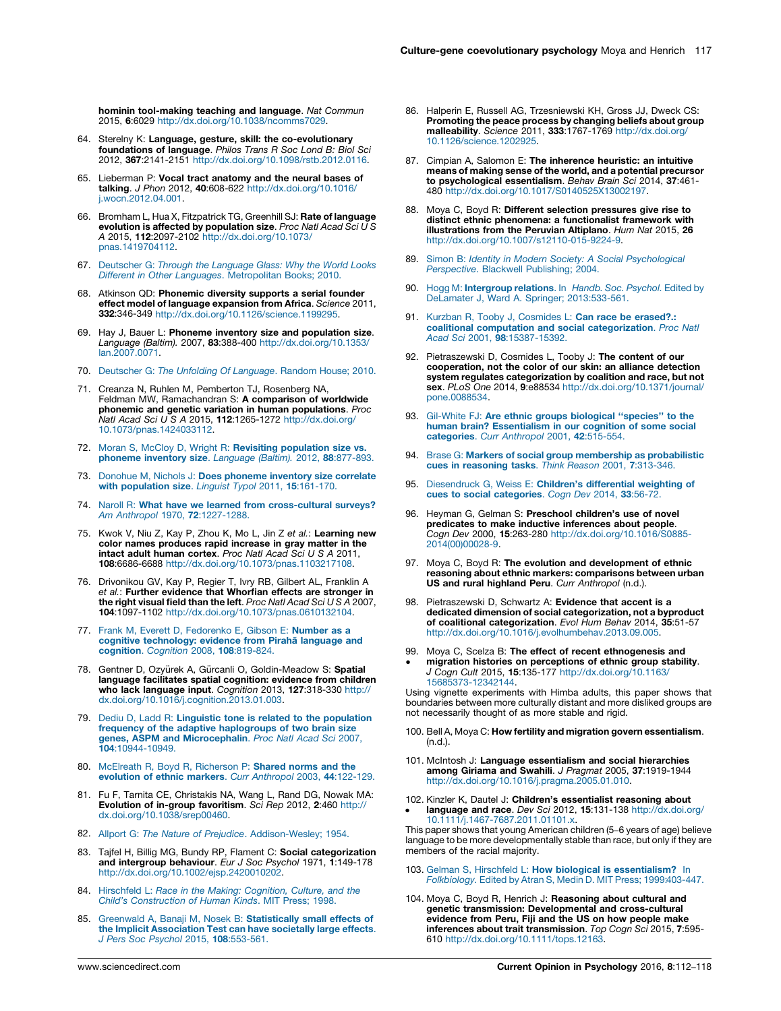<span id="page-5-0"></span>hominin tool-making teaching and language. Nat Commun 2015, 6:6029 <http://dx.doi.org/10.1038/ncomms7029>.

- 64. Sterelny K: **Language, gesture, skill: the co-evolutionary**<br>**foundations of language**. *Philos Trans R Soc Lond B: Biol Sci* 2012, 367:2141-2151 [http://dx.doi.org/10.1098/rstb.2012.0116.](http://dx.doi.org/10.1098/rstb.2012.0116)
- 65. Lieberman P: Vocal tract anatomy and the neural bases of talking. J Phon 2012, 40:608-622 [http://dx.doi.org/10.1016/](http://dx.doi.org/10.1016/j.wocn.2012.04.001) [j.wocn.2012.04.001.](http://dx.doi.org/10.1016/j.wocn.2012.04.001)
- 66. Bromham L, Hua X, Fitzpatrick TG, Greenhill SJ: Rate of language evolution is affected by population size. Proc Natl Acad Sci U S A 2015, 112:2097-2102 [http://dx.doi.org/10.1073/](http://dx.doi.org/10.1073/pnas.1419704112) [pnas.1419704112](http://dx.doi.org/10.1073/pnas.1419704112).
- 67. [Deutscher](http://refhub.elsevier.com/S2352-250X(15)00248-1/sbref0955) G: Through the Language Glass: Why the World Looks Different in Other Languages. [Metropolitan](http://refhub.elsevier.com/S2352-250X(15)00248-1/sbref0955) Books; 2010.
- 68. Atkinson QD: Phonemic diversity supports a serial founder effect model of language expansion from Africa. Science 2011, 332:346-349 [http://dx.doi.org/10.1126/science.1199295.](http://dx.doi.org/10.1126/science.1199295)
- 69. Hay J, Bauer L: Phoneme inventory size and population size. Language (Baltim). 2007, 83:388-400 [http://dx.doi.org/10.1353/](http://dx.doi.org/10.1353/lan.2007.0071) [lan.2007.0071](http://dx.doi.org/10.1353/lan.2007.0071).
- 70. [Deutscher](http://refhub.elsevier.com/S2352-250X(15)00248-1/sbref0970) G: The Unfolding Of Language. Random House; 2010.
- 71. Creanza N, Ruhlen M, Pemberton TJ, Rosenberg NA, Feldman MW, Ramachandran S: A comparison of worldwide phonemic and genetic variation in human populations. Proc Natl Acad Sci U S A 2015, 112:1265-1272 [http://dx.doi.org/](http://dx.doi.org/10.1073/pnas.1424033112) [10.1073/pnas.1424033112.](http://dx.doi.org/10.1073/pnas.1424033112)
- 72. Moran S, McCloy D, Wright R: Revisiting [population](http://refhub.elsevier.com/S2352-250X(15)00248-1/sbref0980) size vs. [phoneme](http://refhub.elsevier.com/S2352-250X(15)00248-1/sbref0980) inventory size. Language (Baltim). 2012, 88:877-893.
- 73. Donohue M, Nichols J: Does [phoneme](http://refhub.elsevier.com/S2352-250X(15)00248-1/sbref0985) inventory size correlate with [population](http://refhub.elsevier.com/S2352-250X(15)00248-1/sbref0985) size. Linguist Typol 2011, 15:161-170.
- 74. Naroll R: What have we learned from [cross-cultural](http://refhub.elsevier.com/S2352-250X(15)00248-1/sbref0990) surveys? Am Anthropol 1970, 72[:1227-1288.](http://refhub.elsevier.com/S2352-250X(15)00248-1/sbref0990)
- 75. Kwok V, Niu Z, Kay P, Zhou K, Mo L, Jin Z et al.: **Learning new**<br>color names produces rapid increase in gray matter in the<br>intact adult human cortex. *Proc Natl Acad Sci U S A* 2011, 108:6686-6688 <http://dx.doi.org/10.1073/pnas.1103217108>.
- 76. Drivonikou GV, Kay P, Regier T, Ivry RB, Gilbert AL, Franklin A et al.: Further evidence that Whorfian effects are stronger in the right visual field than the left. Proc Natl Acad Sci  $USA$  2007, 104:1097-1102 <http://dx.doi.org/10.1073/pnas.0610132104>.
- 77. Frank M, Everett D, [Fedorenko](http://refhub.elsevier.com/S2352-250X(15)00248-1/sbref1005) E, Gibson E: Number as a cognitive [technology:](http://refhub.elsevier.com/S2352-250X(15)00248-1/sbref1005) evidence from Piraha language and [cognition](http://refhub.elsevier.com/S2352-250X(15)00248-1/sbref1005). Cognition 2008, 108:819-824.
- 78. Gentner D, Ozyürek A, Gürcanli O, Goldin-Meadow S: Spatial language facilitates spatial cognition: evidence from children who lack language input. Cognition 2013, 127:318-330 [http://](http://dx.doi.org/10.1016/j.cognition.2013.01.003) [dx.doi.org/10.1016/j.cognition.2013.01.003](http://dx.doi.org/10.1016/j.cognition.2013.01.003).
- 79. Dediu D, Ladd R: Linguistic tone is related to the [population](http://refhub.elsevier.com/S2352-250X(15)00248-1/sbref1015) frequency of the adaptive [haplogroups](http://refhub.elsevier.com/S2352-250X(15)00248-1/sbref1015) of two brain size genes, ASPM and [Microcephalin](http://refhub.elsevier.com/S2352-250X(15)00248-1/sbref1015). Proc Natl Acad Sci 2007, 104[:10944-10949.](http://refhub.elsevier.com/S2352-250X(15)00248-1/sbref1015)
- 80. [McElreath](http://refhub.elsevier.com/S2352-250X(15)00248-1/sbref1020) R, Boyd R, Richerson P: Shared norms and the evolution of ethnic markers. Curr [Anthropol](http://refhub.elsevier.com/S2352-250X(15)00248-1/sbref1020) 2003, 44:122-129.
- 81. Fu F, Tarnita CE, Christakis NA, Wang L, Rand DG, Nowak MA: Evolution of in-group favoritism. Sci Rep 2012, 2:460 [http://](http://dx.doi.org/10.1038/srep00460) [dx.doi.org/10.1038/srep00460.](http://dx.doi.org/10.1038/srep00460)
- 82. Allport G: The Nature of Prejudice. [Addison-Wesley;](http://refhub.elsevier.com/S2352-250X(15)00248-1/sbref1030) 1954.
- 83. Tajfel H, Billig MG, Bundy RP, Flament C: Social categorization and intergroup behaviour. Eur J Soc Psychol 1971, 1:149-178 [http://dx.doi.org/10.1002/ejsp.2420010202.](http://dx.doi.org/10.1002/ejsp.2420010202)
- 84. Hirschfeld L: Race in the Making: [Cognition,](http://refhub.elsevier.com/S2352-250X(15)00248-1/sbref1040) Culture, and the Child's [Construction](http://refhub.elsevier.com/S2352-250X(15)00248-1/sbref1040) of Human Kinds. MIT Press; 1998.
- 85. Greenwald A, Banaji M, Nosek B: [Statistically](http://refhub.elsevier.com/S2352-250X(15)00248-1/sbref1045) small effects of the Implicit [Association](http://refhub.elsevier.com/S2352-250X(15)00248-1/sbref1045) Test can have societally large effects. J Pers Soc Psychol 2015, 108[:553-561.](http://refhub.elsevier.com/S2352-250X(15)00248-1/sbref1045)
- 86. Halperin E, Russell AG, Trzesniewski KH, Gross JJ, Dweck CS: Promoting the peace process by changing beliefs about group malleability. Science 2011, 333:1767-1769 [http://dx.doi.org/](http://dx.doi.org/10.1126/science.1202925) [10.1126/science.1202925.](http://dx.doi.org/10.1126/science.1202925)
- 87. Cimpian A, Salomon E: The inherence heuristic: an intuitive means of making sense of the world, and a potential precursor to psychological essentialism. Behav Brain Sci 2014, 37:461- 480 <http://dx.doi.org/10.1017/S0140525X13002197>.
- 88. Moya C, Boyd R: Different selection pressures give rise to distinct ethnic phenomena: a functionalist framework with illustrations from the Peruvian Altiplano. Hum Nat 2015, 26 [http://dx.doi.org/10.1007/s12110-015-9224-9.](http://dx.doi.org/10.1007/s12110-015-9224-9)
- Simon B: Identity in Modern Society: A Social [Psychological](http://refhub.elsevier.com/S2352-250X(15)00248-1/sbref1065) [Perspective](http://refhub.elsevier.com/S2352-250X(15)00248-1/sbref1065). Blackwell Publishing; 2004.
- 90. Hogg M: [Intergroup](http://refhub.elsevier.com/S2352-250X(15)00248-1/sbref1070) relations. In Handb. Soc. Psychol. Edited by [DeLamater](http://refhub.elsevier.com/S2352-250X(15)00248-1/sbref1070) J, Ward A. Springer; 2013:[533-561.](http://refhub.elsevier.com/S2352-250X(15)00248-1/sbref1070)
- 91. Kurzban R, Tooby J, [Cosmides](http://refhub.elsevier.com/S2352-250X(15)00248-1/sbref1075) L: Can race be erased?.: coalitional computation and social [categorization](http://refhub.elsevier.com/S2352-250X(15)00248-1/sbref1075). Proc Natl Acad Sci 2001, 98[:15387-15392.](http://refhub.elsevier.com/S2352-250X(15)00248-1/sbref1075)
- 92. Pietraszewski D, Cosmides L, Tooby J: The content of our cooperation, not the color of our skin: an alliance detection system regulates categorization by coalition and race, but not sex. PLoS One 2014, 9:e88534 [http://dx.doi.org/10.1371/journal/](http://dx.doi.org/10.1371/journal/pone.0088534) [pone.0088534.](http://dx.doi.org/10.1371/journal/pone.0088534)
- 93. Gil-White FJ: Are ethnic groups biological "species" to the human brain? [Essentialism](http://refhub.elsevier.com/S2352-250X(15)00248-1/sbref1085) in our cognition of some social [categories](http://refhub.elsevier.com/S2352-250X(15)00248-1/sbref1085). Curr Anthropol 2001, 42:515-554.
- 94. Brase G: Markers of social group [membership](http://refhub.elsevier.com/S2352-250X(15)00248-1/sbref1090) as probabilistic<br>cues in [reasoning](http://refhub.elsevier.com/S2352-250X(15)00248-1/sbref1090) tasks. Think Reason 2001, 7:313-346.
- 95. [Diesendruck](http://refhub.elsevier.com/S2352-250X(15)00248-1/sbref1095) G, Weiss E: Children's differential weighting of cues to social [categories](http://refhub.elsevier.com/S2352-250X(15)00248-1/sbref1095). Cogn Dev 2014, 33:56-72.
- 96. Heyman G, Gelman S: Preschool children's use of novel predicates to make inductive inferences about people. Cogn Dev 2000, 15:263-280 [http://dx.doi.org/10.1016/S0885-](http://dx.doi.org/10.1016/S0885-2014(00)00028-9) [2014\(00\)00028-9.](http://dx.doi.org/10.1016/S0885-2014(00)00028-9)
- 97. Moya C, Boyd R: The evolution and development of ethnic reasoning about ethnic markers: comparisons between urban US and rural highland Peru. Curr Anthropol (n.d.).
- 98. Pietraszewski D, Schwartz A: Evidence that accent is a dedicated dimension of social categorization, not a byproduct of coalitional categorization. Evol Hum Behav 2014, 35:51-57 [http://dx.doi.org/10.1016/j.evolhumbehav.2013.09.005.](http://dx.doi.org/10.1016/j.evolhumbehav.2013.09.005)
- 99. Moya C, Scelza B: The effect of recent ethnogenesis and migration histories on perceptions of ethnic group stability. J Cogn Cult 2015, 15:135-177 [http://dx.doi.org/10.1163/](http://dx.doi.org/10.1163/15685373-12342144) [15685373-12342144.](http://dx.doi.org/10.1163/15685373-12342144)

Using vignette experiments with Himba adults, this paper shows that boundaries between more culturally distant and more disliked groups are not necessarily thought of as more stable and rigid.

- 100. Bell A, Moya C: How fertility and migration govern essentialism. (n.d.).
- 101. McIntosh J: Language essentialism and social hierarchies among Giriama and Swahili. J Pragmat 2005, 37:1919-1944 [http://dx.doi.org/10.1016/j.pragma.2005.01.010.](http://dx.doi.org/10.1016/j.pragma.2005.01.010)
- 102. Kinzler K, Dautel J: Children's essentialist reasoning about language and race. Dev Sci 2012, 15:131-138 [http://dx.doi.org/](http://dx.doi.org/10.1111/j.1467-7687.2011.01101.x)

[10.1111/j.1467-7687.2011.01101.x](http://dx.doi.org/10.1111/j.1467-7687.2011.01101.x). This paper shows that young American children (5–6 years of age) believe language to be more developmentally stable than race, but only if they are members of the racial majority.

- 103. Gelman S, Hirschfeld L: How biological is [essentialism?](http://refhub.elsevier.com/S2352-250X(15)00248-1/sbref1135) In [Folkbiology.](http://refhub.elsevier.com/S2352-250X(15)00248-1/sbref1135) Edited by Atran S, Medin D. MIT Press; 1999[:403-447](http://refhub.elsevier.com/S2352-250X(15)00248-1/sbref1135).
- 104. Moya C, Boyd R, Henrich J: Reasoning about cultural and genetic transmission: Developmental and cross-cultural evidence from Peru, Fiji and the US on how people make inferences about trait transmission. Top Cogn Sci 2015, 7:595- 610 <http://dx.doi.org/10.1111/tops.12163>.